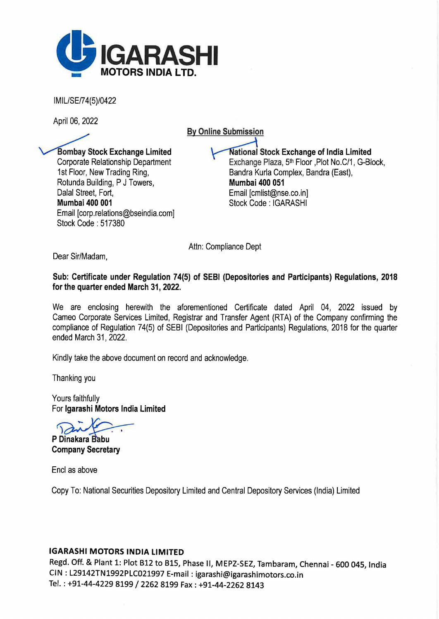

IMIL/SE/74(5)/0422

April 06, 2022

By Online Submission

**Bombay Stock Exchange Limited** Corporate Relationship Department 1st Floor, New Trading Ring, Rotunda Building, P J Towers, Dalal Street, Fort, Mumbai 400 001 Email [corp.relations@bseindia.com] Stock Code : 517380

National Stock Exchange of India Limited Exchange Plaza, 5<sup>th</sup> Floor , Plot No.C/1, G-Block, Sandra Kurla Complex, Sandra (East), Mumbai 400 051 Email [cmlist@nse.co.in] Stock Code: IGARASHI

Attn: Compliance Dept

Dear Sir/Madam,

Sub: Certificate under Regulation 74(5) of SEBI (Depositories and Participants) Regulations, 2018 for the quarter ended March 31, 2022.

We are enclosing herewith the aforementioned Certificate dated April 04, 2022 issued by Cameo Corporate Services Limited, Registrar and Transfer Agent (RTA) of the Company confirming the compliance of Regulation 74(5) of SEBI (Depositories and Participants) Regulations, 2018 for the quarter ended March 31, 2022.

Kindly take the above document on record and acknowledge.

Thanking you

Yours faithfully For lgarashi Motors India Limited

P Dinakara Babu

Company Secretary

Encl as above

Copy To: National Securities Depository Limited and Central Depository Services (India) Limited

## IGARASHI MOTORS INDIA LIMITED

Regd. Off. & Plant 1: Plot B12 to BlS, Phase II, MEPZ-SEZ, Tambaram, Chennai - 600 045, India CIN : L29142TN1992PLC021997 E-mail: igarashi@igarashimotors.co.in Tel.: +91-44-4229 8199 / 2262 8199 Fax: +91-44-2262 8143